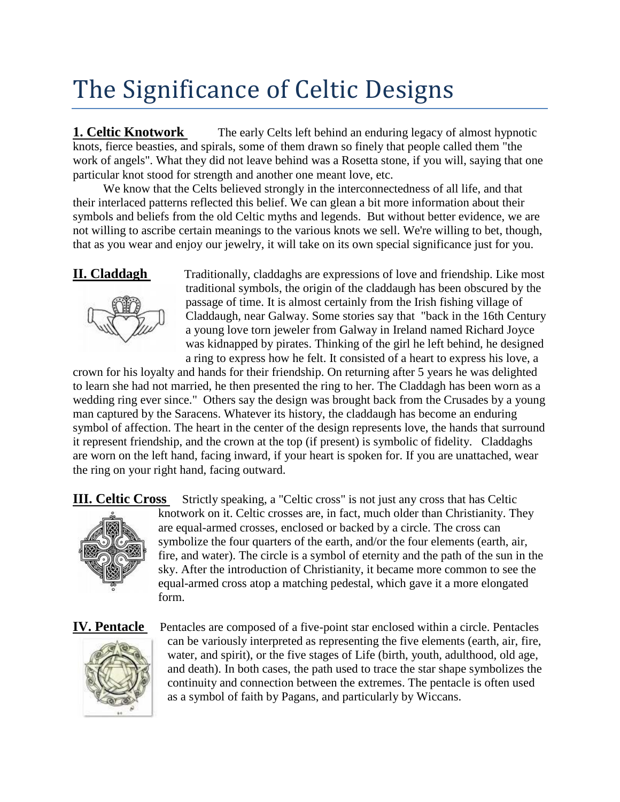# The Significance of Celtic Designs

**1. Celtic Knotwork** The early Celts left behind an enduring legacy of almost hypnotic knots, fierce beasties, and spirals, some of them drawn so finely that people called them "the work of angels". What they did not leave behind was a Rosetta stone, if you will, saying that one particular knot stood for strength and another one meant love, etc.

 We know that the Celts believed strongly in the interconnectedness of all life, and that their interlaced patterns reflected this belief. We can glean a bit more information about their symbols and beliefs from the old Celtic myths and legends. But without better evidence, we are not willing to ascribe certain meanings to the various knots we sell. We're willing to bet, though, that as you wear and enjoy our jewelry, it will take on its own special significance just for you.



**II. Claddagh** Traditionally, claddaghs are expressions of love and friendship. Like most traditional symbols, the origin of the claddaugh has been obscured by the passage of time. It is almost certainly from the Irish fishing village of Claddaugh, near Galway. Some stories say that "back in the 16th Century a young love torn jeweler from Galway in Ireland named Richard Joyce was kidnapped by pirates. Thinking of the girl he left behind, he designed a ring to express how he felt. It consisted of a heart to express his love, a

crown for his loyalty and hands for their friendship. On returning after 5 years he was delighted to learn she had not married, he then presented the ring to her. The Claddagh has been worn as a wedding ring ever since." Others say the design was brought back from the Crusades by a young man captured by the Saracens. Whatever its history, the claddaugh has become an enduring symbol of affection. The heart in the center of the design represents love, the hands that surround it represent friendship, and the crown at the top (if present) is symbolic of fidelity. Claddaghs are worn on the left hand, facing inward, if your heart is spoken for. If you are unattached, wear the ring on your right hand, facing outward.

**III. Celtic Cross** Strictly speaking, a "Celtic cross" is not just any cross that has Celtic



knotwork on it. Celtic crosses are, in fact, much older than Christianity. They are equal-armed crosses, enclosed or backed by a circle. The cross can symbolize the four quarters of the earth, and/or the four elements (earth, air, fire, and water). The circle is a symbol of eternity and the path of the sun in the sky. After the introduction of Christianity, it became more common to see the equal-armed cross atop a matching pedestal, which gave it a more elongated form.



**IV. Pentacle** Pentacles are composed of a five-point star enclosed within a circle. Pentacles can be variously interpreted as representing the five elements (earth, air, fire, water, and spirit), or the five stages of Life (birth, youth, adulthood, old age, and death). In both cases, the path used to trace the star shape symbolizes the continuity and connection between the extremes. The pentacle is often used as a symbol of faith by Pagans, and particularly by Wiccans.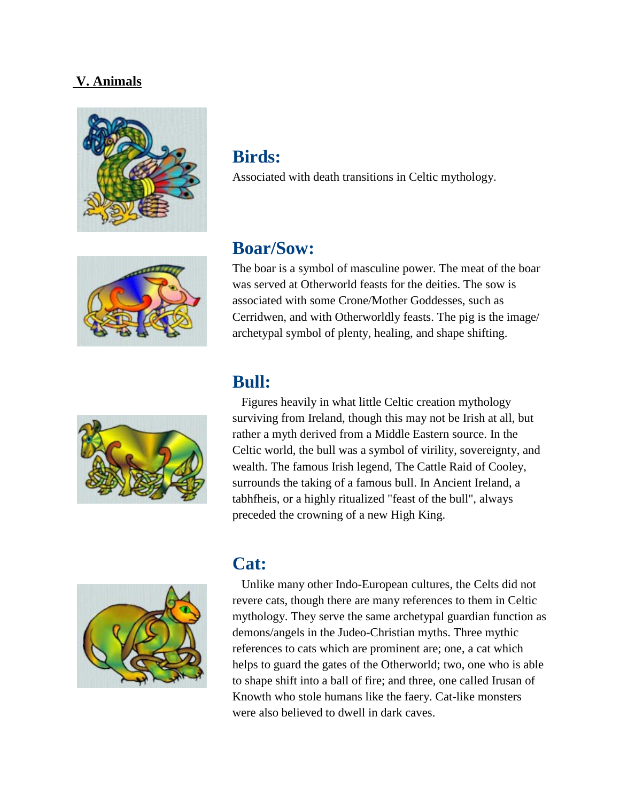#### **V. Animals**





Associated with death transitions in Celtic mythology.



#### **Boar/Sow:**

The boar is a symbol of masculine power. The meat of the boar was served at Otherworld feasts for the deities. The sow is associated with some Crone/Mother Goddesses, such as Cerridwen, and with Otherworldly feasts. The pig is the image/ archetypal symbol of plenty, healing, and shape shifting.

#### **Bull:**

 Figures heavily in what little Celtic creation mythology surviving from Ireland, though this may not be Irish at all, but rather a myth derived from a Middle Eastern source. In the Celtic world, the bull was a symbol of virility, sovereignty, and wealth. The famous Irish legend, The Cattle Raid of Cooley, surrounds the taking of a famous bull. In Ancient Ireland, a tabhfheis, or a highly ritualized "feast of the bull", always preceded the crowning of a new High King.



#### **Cat:**

 Unlike many other Indo-European cultures, the Celts did not revere cats, though there are many references to them in Celtic mythology. They serve the same archetypal guardian function as demons/angels in the Judeo-Christian myths. Three mythic references to cats which are prominent are; one, a cat which helps to guard the gates of the Otherworld; two, one who is able to shape shift into a ball of fire; and three, one called Irusan of Knowth who stole humans like the faery. Cat-like monsters were also believed to dwell in dark caves.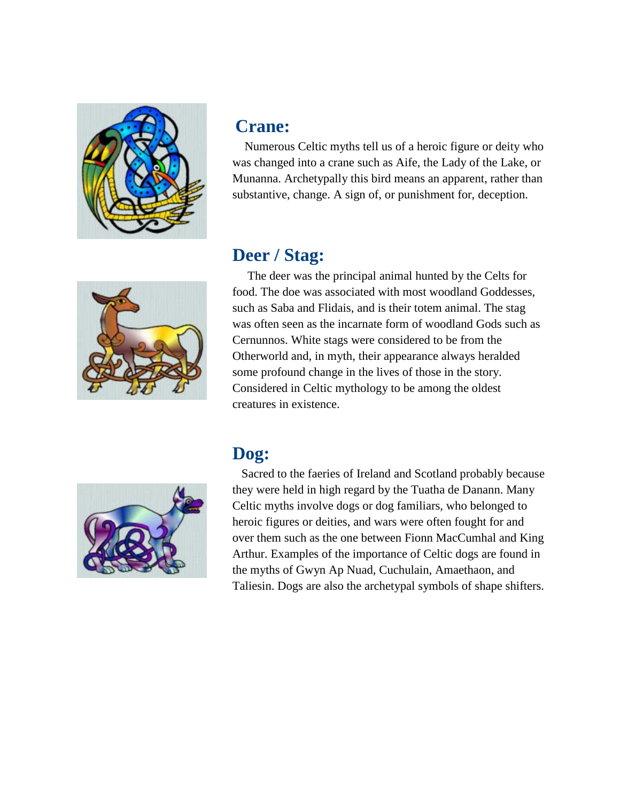

## **Crane:**

 Numerous Celtic myths tell us of a heroic figure or deity who was changed into a crane such as Aife, the Lady of the Lake, or Munanna. Archetypally this bird means an apparent, rather than substantive, change. A sign of, or punishment for, deception.

# **Deer / Stag:**

 The deer was the principal animal hunted by the Celts for food. The doe was associated with most woodland Goddesses, such as Saba and Flidais, and is their totem animal. The stag was often seen as the incarnate form of woodland Gods such as Cernunnos. White stags were considered to be from the Otherworld and, in myth, their appearance always heralded some profound change in the lives of those in the story. Considered in Celtic mythology to be among the oldest creatures in existence.

# **Dog:**



 Sacred to the faeries of Ireland and Scotland probably because they were held in high regard by the Tuatha de Danann. Many Celtic myths involve dogs or dog familiars, who belonged to heroic figures or deities, and wars were often fought for and over them such as the one between Fionn MacCumhal and King Arthur. Examples of the importance of Celtic dogs are found in the myths of Gwyn Ap Nuad, Cuchulain, Amaethaon, and Taliesin. Dogs are also the archetypal symbols of shape shifters.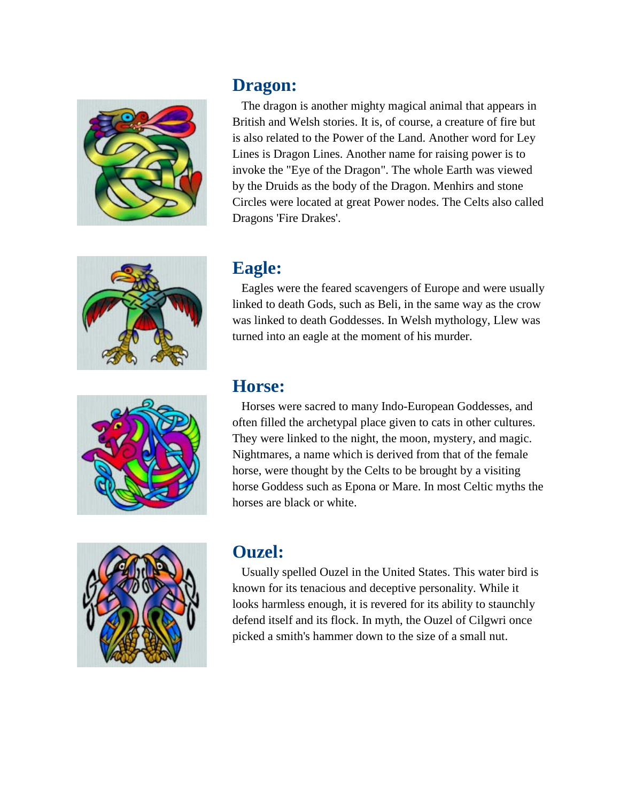







#### **Dragon:**

 The dragon is another mighty magical animal that appears in British and Welsh stories. It is, of course, a creature of fire but is also related to the Power of the Land. Another word for Ley Lines is Dragon Lines. Another name for raising power is to invoke the "Eye of the Dragon". The whole Earth was viewed by the Druids as the body of the Dragon. Menhirs and stone Circles were located at great Power nodes. The Celts also called Dragons 'Fire Drakes'.

### **Eagle:**

 Eagles were the feared scavengers of Europe and were usually linked to death Gods, such as Beli, in the same way as the crow was linked to death Goddesses. In Welsh mythology, Llew was turned into an eagle at the moment of his murder.

### **Horse:**

 Horses were sacred to many Indo-European Goddesses, and often filled the archetypal place given to cats in other cultures. They were linked to the night, the moon, mystery, and magic. Nightmares, a name which is derived from that of the female horse, were thought by the Celts to be brought by a visiting horse Goddess such as Epona or Mare. In most Celtic myths the horses are black or white.

# **Ouzel:**

 Usually spelled Ouzel in the United States. This water bird is known for its tenacious and deceptive personality. While it looks harmless enough, it is revered for its ability to staunchly defend itself and its flock. In myth, the Ouzel of Cilgwri once picked a smith's hammer down to the size of a small nut.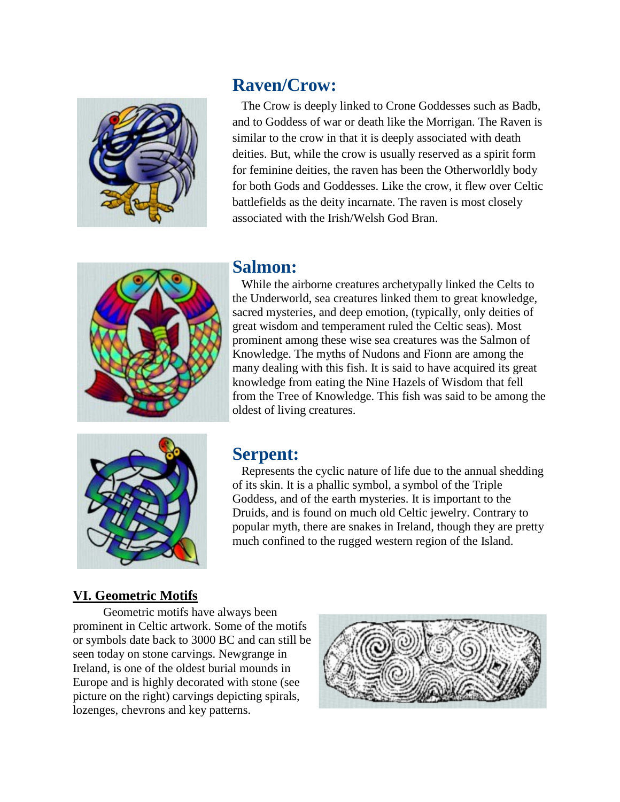

#### **Raven/Crow:**

 The Crow is deeply linked to Crone Goddesses such as Badb, and to Goddess of war or death like the Morrigan. The Raven is similar to the crow in that it is deeply associated with death deities. But, while the crow is usually reserved as a spirit form for feminine deities, the raven has been the Otherworldly body for both Gods and Goddesses. Like the crow, it flew over Celtic battlefields as the deity incarnate. The raven is most closely associated with the Irish/Welsh God Bran.



#### **Salmon:**

 While the airborne creatures archetypally linked the Celts to the Underworld, sea creatures linked them to great knowledge, sacred mysteries, and deep emotion, (typically, only deities of great wisdom and temperament ruled the Celtic seas). Most prominent among these wise sea creatures was the Salmon of Knowledge. The myths of Nudons and Fionn are among the many dealing with this fish. It is said to have acquired its great knowledge from eating the Nine Hazels of Wisdom that fell from the Tree of Knowledge. This fish was said to be among the oldest of living creatures.



#### **Serpent:**

 Represents the cyclic nature of life due to the annual shedding of its skin. It is a phallic symbol, a symbol of the Triple Goddess, and of the earth mysteries. It is important to the Druids, and is found on much old Celtic jewelry. Contrary to popular myth, there are snakes in Ireland, though they are pretty much confined to the rugged western region of the Island.

#### **VI. Geometric Motifs**

 Geometric motifs have always been prominent in Celtic artwork. Some of the motifs or symbols date back to 3000 BC and can still be seen today on stone carvings. Newgrange in Ireland, is one of the oldest burial mounds in Europe and is highly decorated with stone (see picture on the right) carvings depicting spirals, lozenges, chevrons and key patterns.

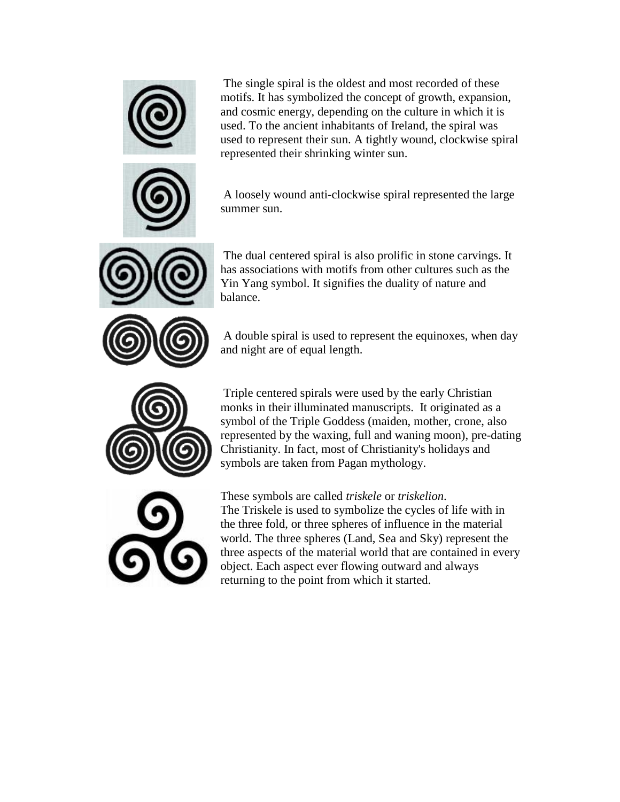

The single spiral is the oldest and most recorded of these motifs. It has symbolized the concept of growth, expansion, and cosmic energy, depending on the culture in which it is used. To the ancient inhabitants of Ireland, the spiral was used to represent their sun. A tightly wound, clockwise spiral represented their shrinking winter sun.

A loosely wound anti-clockwise spiral represented the large summer sun.

The dual centered spiral is also prolific in stone carvings. It has associations with motifs from other cultures such as the Yin Yang symbol. It signifies the duality of nature and balance.

A double spiral is used to represent the equinoxes, when day and night are of equal length.

Triple centered spirals were used by the early Christian monks in their illuminated manuscripts. It originated as a symbol of the Triple Goddess (maiden, mother, crone, also represented by the waxing, full and waning moon), pre-dating Christianity. In fact, most of Christianity's holidays and symbols are taken from Pagan mythology.

These symbols are called *triskele* or *triskelion*.

The Triskele is used to symbolize the cycles of life with in the three fold, or three spheres of influence in the material world. The three spheres (Land, Sea and Sky) represent the three aspects of the material world that are contained in every object. Each aspect ever flowing outward and always returning to the point from which it started.